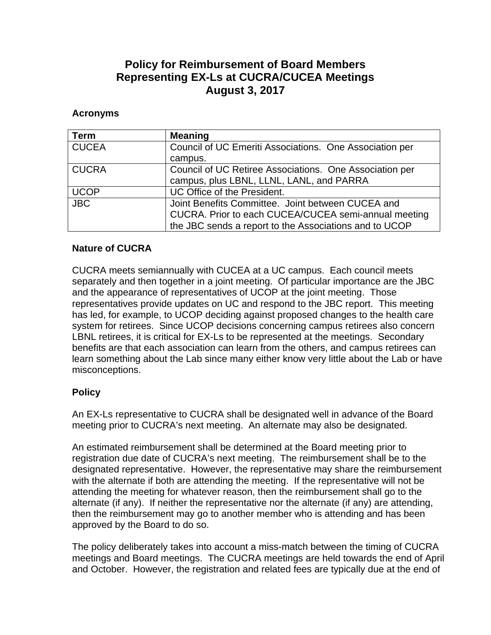## **Policy for Reimbursement of Board Members Representing EX-Ls at CUCRA/CUCEA Meetings August 3, 2017**

## **Acronyms**

| . Term       | <b>Meaning</b>                                          |
|--------------|---------------------------------------------------------|
| <b>CUCEA</b> | Council of UC Emeriti Associations. One Association per |
|              | campus.                                                 |
| <b>CUCRA</b> | Council of UC Retiree Associations. One Association per |
|              | campus, plus LBNL, LLNL, LANL, and PARRA                |
| <b>UCOP</b>  | UC Office of the President.                             |
| <b>JBC</b>   | Joint Benefits Committee. Joint between CUCEA and       |
|              | CUCRA. Prior to each CUCEA/CUCEA semi-annual meeting    |
|              | the JBC sends a report to the Associations and to UCOP  |

## **Nature of CUCRA**

CUCRA meets semiannually with CUCEA at a UC campus. Each council meets separately and then together in a joint meeting. Of particular importance are the JBC and the appearance of representatives of UCOP at the joint meeting. Those representatives provide updates on UC and respond to the JBC report. This meeting has led, for example, to UCOP deciding against proposed changes to the health care system for retirees. Since UCOP decisions concerning campus retirees also concern LBNL retirees, it is critical for EX-Ls to be represented at the meetings. Secondary benefits are that each association can learn from the others, and campus retirees can learn something about the Lab since many either know very little about the Lab or have misconceptions.

## **Policy**

An EX-Ls representative to CUCRA shall be designated well in advance of the Board meeting prior to CUCRA's next meeting. An alternate may also be designated.

An estimated reimbursement shall be determined at the Board meeting prior to registration due date of CUCRA's next meeting. The reimbursement shall be to the designated representative. However, the representative may share the reimbursement with the alternate if both are attending the meeting. If the representative will not be attending the meeting for whatever reason, then the reimbursement shall go to the alternate (if any). If neither the representative nor the alternate (if any) are attending, then the reimbursement may go to another member who is attending and has been approved by the Board to do so.

The policy deliberately takes into account a miss-match between the timing of CUCRA meetings and Board meetings. The CUCRA meetings are held towards the end of April and October. However, the registration and related fees are typically due at the end of